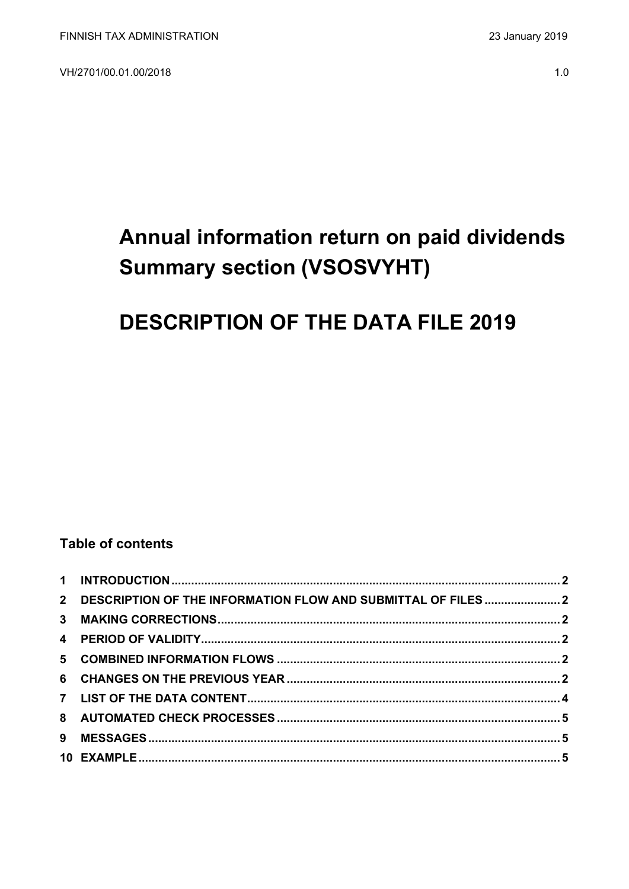VH/2701/00.01.00/2018

# Annual information return on paid dividends **Summary section (VSOSVYHT)**

# **DESCRIPTION OF THE DATA FILE 2019**

### **Table of contents**

| 2 DESCRIPTION OF THE INFORMATION FLOW AND SUBMITTAL OF FILES  2 |  |
|-----------------------------------------------------------------|--|
|                                                                 |  |
|                                                                 |  |
|                                                                 |  |
|                                                                 |  |
|                                                                 |  |
|                                                                 |  |
|                                                                 |  |
|                                                                 |  |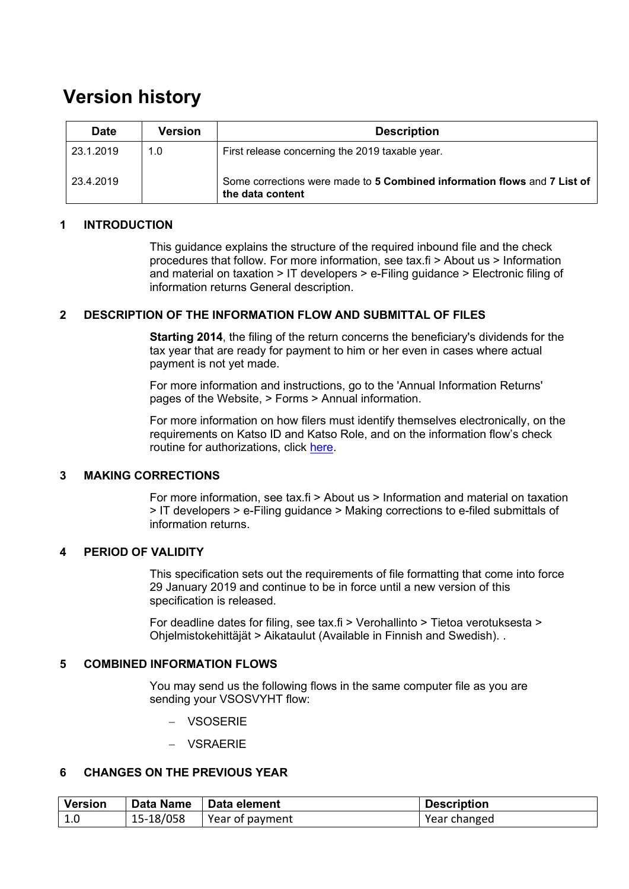## **Version history**

| <b>Date</b> | <b>Version</b> | <b>Description</b>                                                                           |
|-------------|----------------|----------------------------------------------------------------------------------------------|
| 23.1.2019   | 1.0            | First release concerning the 2019 taxable year.                                              |
| 23.4.2019   |                | Some corrections were made to 5 Combined information flows and 7 List of<br>the data content |

#### <span id="page-1-0"></span>**1 INTRODUCTION**

This guidance explains the structure of the required inbound file and the check procedures that follow. For more information, see tax.fi > About us > Information and material on taxation > IT developers > e-Filing guidance > Electronic filing of information returns General description.

#### <span id="page-1-1"></span>**2 DESCRIPTION OF THE INFORMATION FLOW AND SUBMITTAL OF FILES**

**Starting 2014**, the filing of the return concerns the beneficiary's dividends for the tax year that are ready for payment to him or her even in cases where actual payment is not yet made.

For more information and instructions, go to the 'Annual Information Returns' pages of the Website, > Forms > Annual information.

For more information on how filers must identify themselves electronically, on the requirements on Katso ID and Katso Role, and on the information flow's check routine for authorizations, click [here.](https://www.ilmoitin.fi/webtamo/sivut/IlmoituslajiRoolit?kieli=en&tv=VSOSVYHT)

#### <span id="page-1-2"></span>**3 MAKING CORRECTIONS**

For more information, see tax.fi > About us > Information and material on taxation > IT developers > e-Filing guidance > Making corrections to e-filed submittals of information returns.

#### <span id="page-1-3"></span>**4 PERIOD OF VALIDITY**

This specification sets out the requirements of file formatting that come into force 29 January 2019 and continue to be in force until a new version of this specification is released.

For deadline dates for filing, see tax.fi > Verohallinto > Tietoa verotuksesta > Ohjelmistokehittäjät > Aikataulut (Available in Finnish and Swedish). .

#### <span id="page-1-4"></span>**5 COMBINED INFORMATION FLOWS**

You may send us the following flows in the same computer file as you are sending your VSOSVYHT flow:

- − VSOSERIE
- − VSRAERIE

#### <span id="page-1-5"></span>**6 CHANGES ON THE PREVIOUS YEAR**

| <b>Version</b> | Data Name   Data element    | <b>Description</b> |
|----------------|-----------------------------|--------------------|
| 1.0            | $15-18/058$ Year of payment | Year changed       |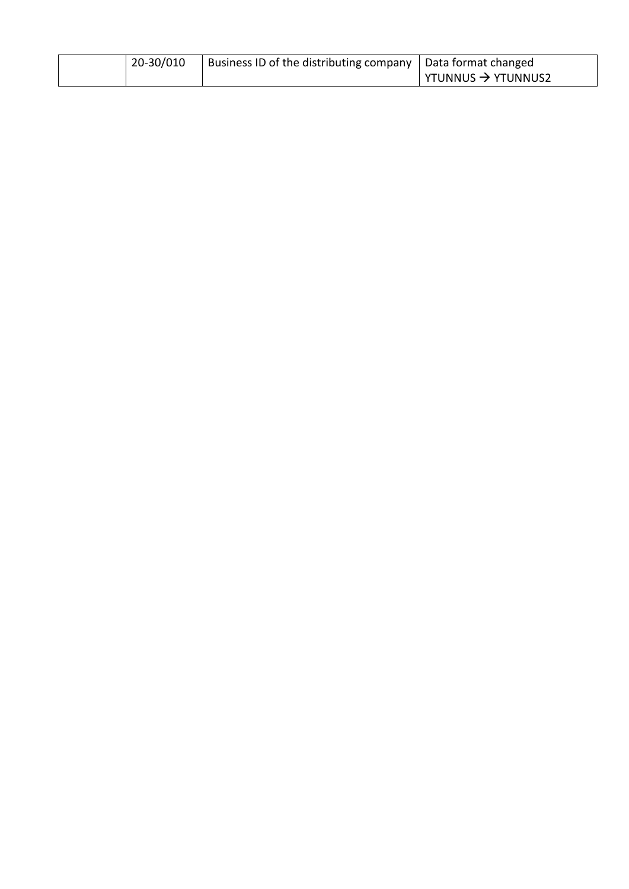| 20-30/010 | Business ID of the distributing company   Data format changed |                                |
|-----------|---------------------------------------------------------------|--------------------------------|
|           |                                                               | YTUNNUS $\rightarrow$ YTUNNUS2 |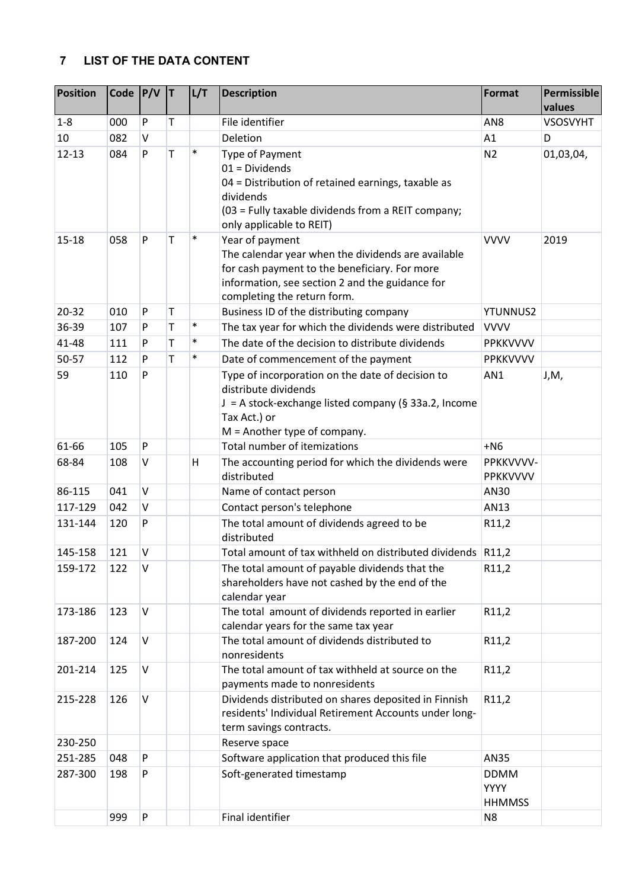### <span id="page-3-0"></span>**7 LIST OF THE DATA CONTENT**

| File identifier<br>$1 - 8$<br>P<br>T<br>000<br>AN <sub>8</sub><br><b>VSOSVYHT</b><br>10<br>082<br>V<br>Deletion<br>A1<br>D<br>T<br>$\ast$<br>$12 - 13$<br>${\sf P}$<br>084<br><b>Type of Payment</b><br>N <sub>2</sub><br>01,03,04,<br>$01 = Dividends$<br>04 = Distribution of retained earnings, taxable as<br>dividends<br>(03 = Fully taxable dividends from a REIT company;<br>only applicable to REIT)<br>P<br>$\ast$<br>Year of payment<br><b>VVVV</b><br>$15 - 18$<br>058<br>Τ<br>2019<br>The calendar year when the dividends are available<br>for cash payment to the beneficiary. For more<br>information, see section 2 and the guidance for<br>completing the return form.<br>${\sf P}$<br>$\mathsf T$<br>$20 - 32$<br>Business ID of the distributing company<br>010<br><b>YTUNNUS2</b><br>$\ast$<br>The tax year for which the dividends were distributed<br>36-39<br>Τ<br>107<br>P<br><b>VVVV</b><br>T<br>$\ast$<br>The date of the decision to distribute dividends<br>41-48<br>P<br>111<br>PPKKVVVV<br>T<br>$\ast$<br>50-57<br>Date of commencement of the payment<br>112<br>P<br>PPKKVVVV<br>Type of incorporation on the date of decision to<br>59<br>P<br>110<br>AN1<br>J,M,<br>distribute dividends<br>J = A stock-exchange listed company (§ 33a.2, Income<br>Tax Act.) or<br>$M =$ Another type of company.<br>Total number of itemizations<br>61-66<br>P<br>$+NG$<br>105<br>68-84<br>V<br>The accounting period for which the dividends were<br>PPKKVVVV-<br>108<br>н<br>distributed<br>PPKKVVVV<br>86-115<br>$\vee$<br>041<br>Name of contact person<br>AN30<br>$\vee$<br>Contact person's telephone<br>117-129<br>042<br>AN13<br>120<br>P<br>The total amount of dividends agreed to be<br>131-144<br>R11,2<br>distributed<br>$\vee$<br>Total amount of tax withheld on distributed dividends R11,2<br>145-158<br>121<br>$\vee$<br>The total amount of payable dividends that the<br>159-172<br>122<br>R11,2<br>shareholders have not cashed by the end of the<br>calendar year<br>The total amount of dividends reported in earlier<br>123<br>$\vee$<br>R11,2<br>173-186<br>calendar years for the same tax year<br>The total amount of dividends distributed to<br>$\sf V$<br>R11,2<br>187-200<br>124<br>nonresidents<br>The total amount of tax withheld at source on the<br>$\vee$<br>R11,2<br>201-214<br>125<br>payments made to nonresidents<br>$\vee$<br>126<br>Dividends distributed on shares deposited in Finnish<br>R11,2<br>215-228<br>residents' Individual Retirement Accounts under long-<br>term savings contracts.<br>230-250<br>Reserve space<br>P<br>Software application that produced this file<br>251-285<br>048<br>AN35<br>287-300<br>P<br>Soft-generated timestamp<br>198<br><b>DDMM</b><br><b>YYYY</b><br><b>HHMMSS</b><br>${\sf P}$ | <b>Position</b> | Code | P/V | İΤ | L/T | <b>Description</b> | Format         | Permissible<br>values |
|------------------------------------------------------------------------------------------------------------------------------------------------------------------------------------------------------------------------------------------------------------------------------------------------------------------------------------------------------------------------------------------------------------------------------------------------------------------------------------------------------------------------------------------------------------------------------------------------------------------------------------------------------------------------------------------------------------------------------------------------------------------------------------------------------------------------------------------------------------------------------------------------------------------------------------------------------------------------------------------------------------------------------------------------------------------------------------------------------------------------------------------------------------------------------------------------------------------------------------------------------------------------------------------------------------------------------------------------------------------------------------------------------------------------------------------------------------------------------------------------------------------------------------------------------------------------------------------------------------------------------------------------------------------------------------------------------------------------------------------------------------------------------------------------------------------------------------------------------------------------------------------------------------------------------------------------------------------------------------------------------------------------------------------------------------------------------------------------------------------------------------------------------------------------------------------------------------------------------------------------------------------------------------------------------------------------------------------------------------------------------------------------------------------------------------------------------------------------------------------------------------------------------------------------------------------------------------------------------------------------------------------------------------------------------------------------------------------------------------------------------------------------------------------|-----------------|------|-----|----|-----|--------------------|----------------|-----------------------|
|                                                                                                                                                                                                                                                                                                                                                                                                                                                                                                                                                                                                                                                                                                                                                                                                                                                                                                                                                                                                                                                                                                                                                                                                                                                                                                                                                                                                                                                                                                                                                                                                                                                                                                                                                                                                                                                                                                                                                                                                                                                                                                                                                                                                                                                                                                                                                                                                                                                                                                                                                                                                                                                                                                                                                                                          |                 |      |     |    |     |                    |                |                       |
|                                                                                                                                                                                                                                                                                                                                                                                                                                                                                                                                                                                                                                                                                                                                                                                                                                                                                                                                                                                                                                                                                                                                                                                                                                                                                                                                                                                                                                                                                                                                                                                                                                                                                                                                                                                                                                                                                                                                                                                                                                                                                                                                                                                                                                                                                                                                                                                                                                                                                                                                                                                                                                                                                                                                                                                          |                 |      |     |    |     |                    |                |                       |
|                                                                                                                                                                                                                                                                                                                                                                                                                                                                                                                                                                                                                                                                                                                                                                                                                                                                                                                                                                                                                                                                                                                                                                                                                                                                                                                                                                                                                                                                                                                                                                                                                                                                                                                                                                                                                                                                                                                                                                                                                                                                                                                                                                                                                                                                                                                                                                                                                                                                                                                                                                                                                                                                                                                                                                                          |                 |      |     |    |     |                    |                |                       |
|                                                                                                                                                                                                                                                                                                                                                                                                                                                                                                                                                                                                                                                                                                                                                                                                                                                                                                                                                                                                                                                                                                                                                                                                                                                                                                                                                                                                                                                                                                                                                                                                                                                                                                                                                                                                                                                                                                                                                                                                                                                                                                                                                                                                                                                                                                                                                                                                                                                                                                                                                                                                                                                                                                                                                                                          |                 |      |     |    |     |                    |                |                       |
|                                                                                                                                                                                                                                                                                                                                                                                                                                                                                                                                                                                                                                                                                                                                                                                                                                                                                                                                                                                                                                                                                                                                                                                                                                                                                                                                                                                                                                                                                                                                                                                                                                                                                                                                                                                                                                                                                                                                                                                                                                                                                                                                                                                                                                                                                                                                                                                                                                                                                                                                                                                                                                                                                                                                                                                          |                 |      |     |    |     |                    |                |                       |
|                                                                                                                                                                                                                                                                                                                                                                                                                                                                                                                                                                                                                                                                                                                                                                                                                                                                                                                                                                                                                                                                                                                                                                                                                                                                                                                                                                                                                                                                                                                                                                                                                                                                                                                                                                                                                                                                                                                                                                                                                                                                                                                                                                                                                                                                                                                                                                                                                                                                                                                                                                                                                                                                                                                                                                                          |                 |      |     |    |     |                    |                |                       |
|                                                                                                                                                                                                                                                                                                                                                                                                                                                                                                                                                                                                                                                                                                                                                                                                                                                                                                                                                                                                                                                                                                                                                                                                                                                                                                                                                                                                                                                                                                                                                                                                                                                                                                                                                                                                                                                                                                                                                                                                                                                                                                                                                                                                                                                                                                                                                                                                                                                                                                                                                                                                                                                                                                                                                                                          |                 |      |     |    |     |                    |                |                       |
|                                                                                                                                                                                                                                                                                                                                                                                                                                                                                                                                                                                                                                                                                                                                                                                                                                                                                                                                                                                                                                                                                                                                                                                                                                                                                                                                                                                                                                                                                                                                                                                                                                                                                                                                                                                                                                                                                                                                                                                                                                                                                                                                                                                                                                                                                                                                                                                                                                                                                                                                                                                                                                                                                                                                                                                          |                 |      |     |    |     |                    |                |                       |
|                                                                                                                                                                                                                                                                                                                                                                                                                                                                                                                                                                                                                                                                                                                                                                                                                                                                                                                                                                                                                                                                                                                                                                                                                                                                                                                                                                                                                                                                                                                                                                                                                                                                                                                                                                                                                                                                                                                                                                                                                                                                                                                                                                                                                                                                                                                                                                                                                                                                                                                                                                                                                                                                                                                                                                                          |                 |      |     |    |     |                    |                |                       |
|                                                                                                                                                                                                                                                                                                                                                                                                                                                                                                                                                                                                                                                                                                                                                                                                                                                                                                                                                                                                                                                                                                                                                                                                                                                                                                                                                                                                                                                                                                                                                                                                                                                                                                                                                                                                                                                                                                                                                                                                                                                                                                                                                                                                                                                                                                                                                                                                                                                                                                                                                                                                                                                                                                                                                                                          |                 |      |     |    |     |                    |                |                       |
|                                                                                                                                                                                                                                                                                                                                                                                                                                                                                                                                                                                                                                                                                                                                                                                                                                                                                                                                                                                                                                                                                                                                                                                                                                                                                                                                                                                                                                                                                                                                                                                                                                                                                                                                                                                                                                                                                                                                                                                                                                                                                                                                                                                                                                                                                                                                                                                                                                                                                                                                                                                                                                                                                                                                                                                          |                 |      |     |    |     |                    |                |                       |
|                                                                                                                                                                                                                                                                                                                                                                                                                                                                                                                                                                                                                                                                                                                                                                                                                                                                                                                                                                                                                                                                                                                                                                                                                                                                                                                                                                                                                                                                                                                                                                                                                                                                                                                                                                                                                                                                                                                                                                                                                                                                                                                                                                                                                                                                                                                                                                                                                                                                                                                                                                                                                                                                                                                                                                                          |                 |      |     |    |     |                    |                |                       |
|                                                                                                                                                                                                                                                                                                                                                                                                                                                                                                                                                                                                                                                                                                                                                                                                                                                                                                                                                                                                                                                                                                                                                                                                                                                                                                                                                                                                                                                                                                                                                                                                                                                                                                                                                                                                                                                                                                                                                                                                                                                                                                                                                                                                                                                                                                                                                                                                                                                                                                                                                                                                                                                                                                                                                                                          |                 |      |     |    |     |                    |                |                       |
|                                                                                                                                                                                                                                                                                                                                                                                                                                                                                                                                                                                                                                                                                                                                                                                                                                                                                                                                                                                                                                                                                                                                                                                                                                                                                                                                                                                                                                                                                                                                                                                                                                                                                                                                                                                                                                                                                                                                                                                                                                                                                                                                                                                                                                                                                                                                                                                                                                                                                                                                                                                                                                                                                                                                                                                          |                 |      |     |    |     |                    |                |                       |
|                                                                                                                                                                                                                                                                                                                                                                                                                                                                                                                                                                                                                                                                                                                                                                                                                                                                                                                                                                                                                                                                                                                                                                                                                                                                                                                                                                                                                                                                                                                                                                                                                                                                                                                                                                                                                                                                                                                                                                                                                                                                                                                                                                                                                                                                                                                                                                                                                                                                                                                                                                                                                                                                                                                                                                                          |                 |      |     |    |     |                    |                |                       |
|                                                                                                                                                                                                                                                                                                                                                                                                                                                                                                                                                                                                                                                                                                                                                                                                                                                                                                                                                                                                                                                                                                                                                                                                                                                                                                                                                                                                                                                                                                                                                                                                                                                                                                                                                                                                                                                                                                                                                                                                                                                                                                                                                                                                                                                                                                                                                                                                                                                                                                                                                                                                                                                                                                                                                                                          |                 |      |     |    |     |                    |                |                       |
|                                                                                                                                                                                                                                                                                                                                                                                                                                                                                                                                                                                                                                                                                                                                                                                                                                                                                                                                                                                                                                                                                                                                                                                                                                                                                                                                                                                                                                                                                                                                                                                                                                                                                                                                                                                                                                                                                                                                                                                                                                                                                                                                                                                                                                                                                                                                                                                                                                                                                                                                                                                                                                                                                                                                                                                          |                 |      |     |    |     |                    |                |                       |
|                                                                                                                                                                                                                                                                                                                                                                                                                                                                                                                                                                                                                                                                                                                                                                                                                                                                                                                                                                                                                                                                                                                                                                                                                                                                                                                                                                                                                                                                                                                                                                                                                                                                                                                                                                                                                                                                                                                                                                                                                                                                                                                                                                                                                                                                                                                                                                                                                                                                                                                                                                                                                                                                                                                                                                                          |                 |      |     |    |     |                    |                |                       |
|                                                                                                                                                                                                                                                                                                                                                                                                                                                                                                                                                                                                                                                                                                                                                                                                                                                                                                                                                                                                                                                                                                                                                                                                                                                                                                                                                                                                                                                                                                                                                                                                                                                                                                                                                                                                                                                                                                                                                                                                                                                                                                                                                                                                                                                                                                                                                                                                                                                                                                                                                                                                                                                                                                                                                                                          |                 |      |     |    |     |                    |                |                       |
|                                                                                                                                                                                                                                                                                                                                                                                                                                                                                                                                                                                                                                                                                                                                                                                                                                                                                                                                                                                                                                                                                                                                                                                                                                                                                                                                                                                                                                                                                                                                                                                                                                                                                                                                                                                                                                                                                                                                                                                                                                                                                                                                                                                                                                                                                                                                                                                                                                                                                                                                                                                                                                                                                                                                                                                          |                 |      |     |    |     |                    |                |                       |
|                                                                                                                                                                                                                                                                                                                                                                                                                                                                                                                                                                                                                                                                                                                                                                                                                                                                                                                                                                                                                                                                                                                                                                                                                                                                                                                                                                                                                                                                                                                                                                                                                                                                                                                                                                                                                                                                                                                                                                                                                                                                                                                                                                                                                                                                                                                                                                                                                                                                                                                                                                                                                                                                                                                                                                                          |                 |      |     |    |     |                    |                |                       |
|                                                                                                                                                                                                                                                                                                                                                                                                                                                                                                                                                                                                                                                                                                                                                                                                                                                                                                                                                                                                                                                                                                                                                                                                                                                                                                                                                                                                                                                                                                                                                                                                                                                                                                                                                                                                                                                                                                                                                                                                                                                                                                                                                                                                                                                                                                                                                                                                                                                                                                                                                                                                                                                                                                                                                                                          |                 |      |     |    |     |                    |                |                       |
|                                                                                                                                                                                                                                                                                                                                                                                                                                                                                                                                                                                                                                                                                                                                                                                                                                                                                                                                                                                                                                                                                                                                                                                                                                                                                                                                                                                                                                                                                                                                                                                                                                                                                                                                                                                                                                                                                                                                                                                                                                                                                                                                                                                                                                                                                                                                                                                                                                                                                                                                                                                                                                                                                                                                                                                          |                 |      |     |    |     |                    |                |                       |
|                                                                                                                                                                                                                                                                                                                                                                                                                                                                                                                                                                                                                                                                                                                                                                                                                                                                                                                                                                                                                                                                                                                                                                                                                                                                                                                                                                                                                                                                                                                                                                                                                                                                                                                                                                                                                                                                                                                                                                                                                                                                                                                                                                                                                                                                                                                                                                                                                                                                                                                                                                                                                                                                                                                                                                                          |                 | 999  |     |    |     | Final identifier   | N <sub>8</sub> |                       |